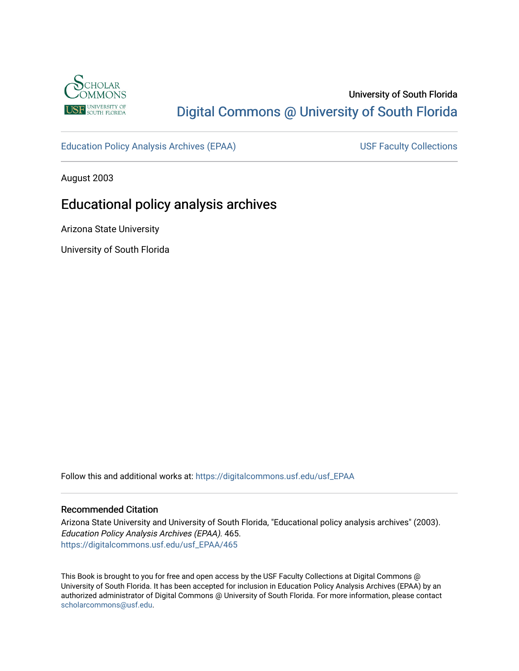

# University of South Florida [Digital Commons @ University of South Florida](https://digitalcommons.usf.edu/)

[Education Policy Analysis Archives \(EPAA\)](https://digitalcommons.usf.edu/usf_EPAA) USF Faculty Collections

August 2003

# Educational policy analysis archives

Arizona State University

University of South Florida

Follow this and additional works at: [https://digitalcommons.usf.edu/usf\\_EPAA](https://digitalcommons.usf.edu/usf_EPAA?utm_source=digitalcommons.usf.edu%2Fusf_EPAA%2F465&utm_medium=PDF&utm_campaign=PDFCoverPages)

#### Recommended Citation

Arizona State University and University of South Florida, "Educational policy analysis archives" (2003). Education Policy Analysis Archives (EPAA). 465. [https://digitalcommons.usf.edu/usf\\_EPAA/465](https://digitalcommons.usf.edu/usf_EPAA/465?utm_source=digitalcommons.usf.edu%2Fusf_EPAA%2F465&utm_medium=PDF&utm_campaign=PDFCoverPages)

This Book is brought to you for free and open access by the USF Faculty Collections at Digital Commons @ University of South Florida. It has been accepted for inclusion in Education Policy Analysis Archives (EPAA) by an authorized administrator of Digital Commons @ University of South Florida. For more information, please contact [scholarcommons@usf.edu.](mailto:scholarcommons@usf.edu)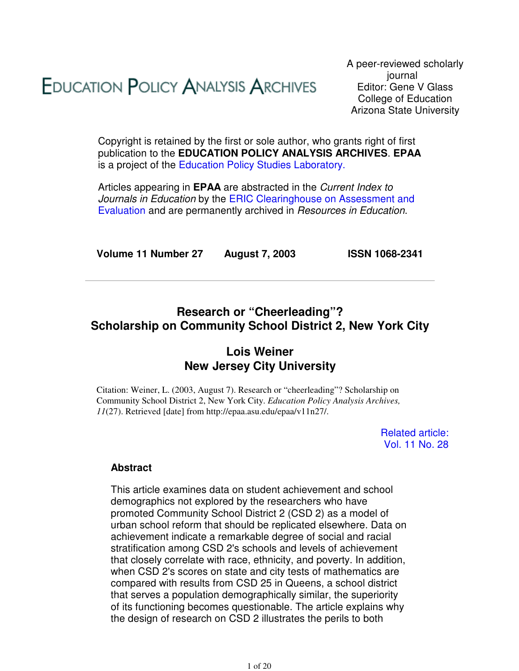# **EDUCATION POLICY ANALYSIS ARCHIVES**

A peer-reviewed scholarly journal Editor: Gene V Glass College of Education Arizona State University

Copyright is retained by the first or sole author, who grants right of first publication to the **EDUCATION POLICY ANALYSIS ARCHIVES**. **EPAA** is a project of the Education Policy Studies Laboratory.

Articles appearing in **EPAA** are abstracted in the Current Index to Journals in Education by the ERIC Clearinghouse on Assessment and Evaluation and are permanently archived in Resources in Education.

**Volume 11 Number 27 August 7, 2003 ISSN 1068-2341**

# **Research or "Cheerleading"? Scholarship on Community School District 2, New York City**

# **Lois Weiner New Jersey City University**

Citation: Weiner, L. (2003, August 7). Research or "cheerleading"? Scholarship on Community School District 2, New York City. *Education Policy Analysis Archives, 11*(27). Retrieved [date] from http://epaa.asu.edu/epaa/v11n27/.

> Related article: Vol. 11 No. 28

# **Abstract**

This article examines data on student achievement and school demographics not explored by the researchers who have promoted Community School District 2 (CSD 2) as a model of urban school reform that should be replicated elsewhere. Data on achievement indicate a remarkable degree of social and racial stratification among CSD 2's schools and levels of achievement that closely correlate with race, ethnicity, and poverty. In addition, when CSD 2's scores on state and city tests of mathematics are compared with results from CSD 25 in Queens, a school district that serves a population demographically similar, the superiority of its functioning becomes questionable. The article explains why the design of research on CSD 2 illustrates the perils to both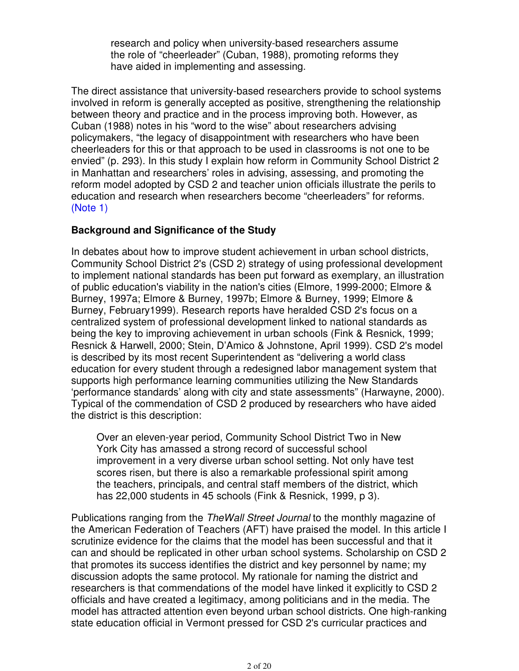research and policy when university-based researchers assume the role of "cheerleader" (Cuban, 1988), promoting reforms they have aided in implementing and assessing.

The direct assistance that university-based researchers provide to school systems involved in reform is generally accepted as positive, strengthening the relationship between theory and practice and in the process improving both. However, as Cuban (1988) notes in his "word to the wise" about researchers advising policymakers, "the legacy of disappointment with researchers who have been cheerleaders for this or that approach to be used in classrooms is not one to be envied" (p. 293). In this study I explain how reform in Community School District 2 in Manhattan and researchers' roles in advising, assessing, and promoting the reform model adopted by CSD 2 and teacher union officials illustrate the perils to education and research when researchers become "cheerleaders" for reforms. (Note 1)

# **Background and Significance of the Study**

In debates about how to improve student achievement in urban school districts, Community School District 2's (CSD 2) strategy of using professional development to implement national standards has been put forward as exemplary, an illustration of public education's viability in the nation's cities (Elmore, 1999-2000; Elmore & Burney, 1997a; Elmore & Burney, 1997b; Elmore & Burney, 1999; Elmore & Burney, February1999). Research reports have heralded CSD 2's focus on a centralized system of professional development linked to national standards as being the key to improving achievement in urban schools (Fink & Resnick, 1999; Resnick & Harwell, 2000; Stein, D'Amico & Johnstone, April 1999). CSD 2's model is described by its most recent Superintendent as "delivering a world class education for every student through a redesigned labor management system that supports high performance learning communities utilizing the New Standards 'performance standards' along with city and state assessments" (Harwayne, 2000). Typical of the commendation of CSD 2 produced by researchers who have aided the district is this description:

Over an eleven-year period, Community School District Two in New York City has amassed a strong record of successful school improvement in a very diverse urban school setting. Not only have test scores risen, but there is also a remarkable professional spirit among the teachers, principals, and central staff members of the district, which has 22,000 students in 45 schools (Fink & Resnick, 1999, p 3).

Publications ranging from the TheWall Street Journal to the monthly magazine of the American Federation of Teachers (AFT) have praised the model. In this article I scrutinize evidence for the claims that the model has been successful and that it can and should be replicated in other urban school systems. Scholarship on CSD 2 that promotes its success identifies the district and key personnel by name; my discussion adopts the same protocol. My rationale for naming the district and researchers is that commendations of the model have linked it explicitly to CSD 2 officials and have created a legitimacy, among politicians and in the media. The model has attracted attention even beyond urban school districts. One high-ranking state education official in Vermont pressed for CSD 2's curricular practices and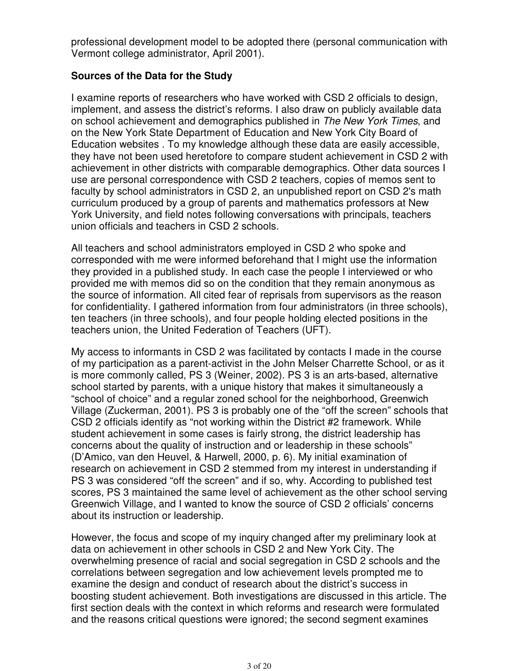professional development model to be adopted there (personal communication with Vermont college administrator, April 2001).

# **Sources of the Data for the Study**

I examine reports of researchers who have worked with CSD 2 officials to design, implement, and assess the district's reforms. I also draw on publicly available data on school achievement and demographics published in The New York Times, and on the New York State Department of Education and New York City Board of Education websites . To my knowledge although these data are easily accessible, they have not been used heretofore to compare student achievement in CSD 2 with achievement in other districts with comparable demographics. Other data sources I use are personal correspondence with CSD 2 teachers, copies of memos sent to faculty by school administrators in CSD 2, an unpublished report on CSD 2's math curriculum produced by a group of parents and mathematics professors at New York University, and field notes following conversations with principals, teachers union officials and teachers in CSD 2 schools.

All teachers and school administrators employed in CSD 2 who spoke and corresponded with me were informed beforehand that I might use the information they provided in a published study. In each case the people I interviewed or who provided me with memos did so on the condition that they remain anonymous as the source of information. All cited fear of reprisals from supervisors as the reason for confidentiality. I gathered information from four administrators (in three schools), ten teachers (in three schools), and four people holding elected positions in the teachers union, the United Federation of Teachers (UFT).

My access to informants in CSD 2 was facilitated by contacts I made in the course of my participation as a parent-activist in the John Melser Charrette School, or as it is more commonly called, PS 3 (Weiner, 2002). PS 3 is an arts-based, alternative school started by parents, with a unique history that makes it simultaneously a "school of choice" and a regular zoned school for the neighborhood, Greenwich Village (Zuckerman, 2001). PS 3 is probably one of the "off the screen" schools that CSD 2 officials identify as "not working within the District #2 framework. While student achievement in some cases is fairly strong, the district leadership has concerns about the quality of instruction and or leadership in these schools" (D'Amico, van den Heuvel, & Harwell, 2000, p. 6). My initial examination of research on achievement in CSD 2 stemmed from my interest in understanding if PS 3 was considered "off the screen" and if so, why. According to published test scores, PS 3 maintained the same level of achievement as the other school serving Greenwich Village, and I wanted to know the source of CSD 2 officials' concerns about its instruction or leadership.

However, the focus and scope of my inquiry changed after my preliminary look at data on achievement in other schools in CSD 2 and New York City. The overwhelming presence of racial and social segregation in CSD 2 schools and the correlations between segregation and low achievement levels prompted me to examine the design and conduct of research about the district's success in boosting student achievement. Both investigations are discussed in this article. The first section deals with the context in which reforms and research were formulated and the reasons critical questions were ignored; the second segment examines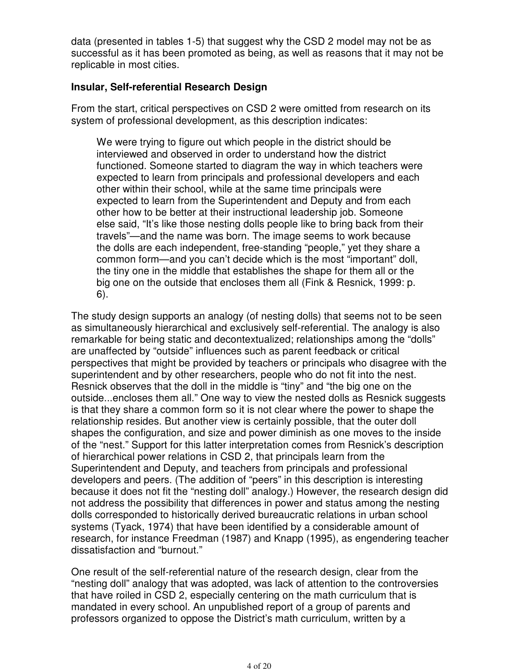data (presented in tables 1-5) that suggest why the CSD 2 model may not be as successful as it has been promoted as being, as well as reasons that it may not be replicable in most cities.

# **Insular, Self-referential Research Design**

From the start, critical perspectives on CSD 2 were omitted from research on its system of professional development, as this description indicates:

We were trying to figure out which people in the district should be interviewed and observed in order to understand how the district functioned. Someone started to diagram the way in which teachers were expected to learn from principals and professional developers and each other within their school, while at the same time principals were expected to learn from the Superintendent and Deputy and from each other how to be better at their instructional leadership job. Someone else said, "It's like those nesting dolls people like to bring back from their travels"—and the name was born. The image seems to work because the dolls are each independent, free-standing "people," yet they share a common form—and you can't decide which is the most "important" doll, the tiny one in the middle that establishes the shape for them all or the big one on the outside that encloses them all (Fink & Resnick, 1999: p. 6).

The study design supports an analogy (of nesting dolls) that seems not to be seen as simultaneously hierarchical and exclusively self-referential. The analogy is also remarkable for being static and decontextualized; relationships among the "dolls" are unaffected by "outside" influences such as parent feedback or critical perspectives that might be provided by teachers or principals who disagree with the superintendent and by other researchers, people who do not fit into the nest. Resnick observes that the doll in the middle is "tiny" and "the big one on the outside...encloses them all." One way to view the nested dolls as Resnick suggests is that they share a common form so it is not clear where the power to shape the relationship resides. But another view is certainly possible, that the outer doll shapes the configuration, and size and power diminish as one moves to the inside of the "nest." Support for this latter interpretation comes from Resnick's description of hierarchical power relations in CSD 2, that principals learn from the Superintendent and Deputy, and teachers from principals and professional developers and peers. (The addition of "peers" in this description is interesting because it does not fit the "nesting doll" analogy.) However, the research design did not address the possibility that differences in power and status among the nesting dolls corresponded to historically derived bureaucratic relations in urban school systems (Tyack, 1974) that have been identified by a considerable amount of research, for instance Freedman (1987) and Knapp (1995), as engendering teacher dissatisfaction and "burnout."

One result of the self-referential nature of the research design, clear from the "nesting doll" analogy that was adopted, was lack of attention to the controversies that have roiled in CSD 2, especially centering on the math curriculum that is mandated in every school. An unpublished report of a group of parents and professors organized to oppose the District's math curriculum, written by a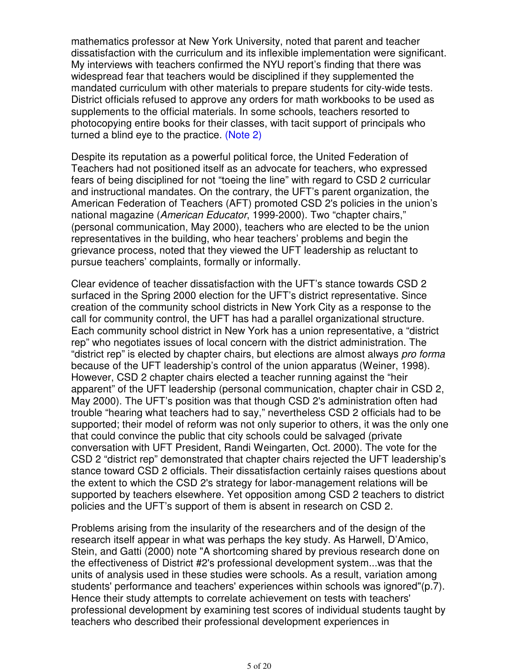mathematics professor at New York University, noted that parent and teacher dissatisfaction with the curriculum and its inflexible implementation were significant. My interviews with teachers confirmed the NYU report's finding that there was widespread fear that teachers would be disciplined if they supplemented the mandated curriculum with other materials to prepare students for city-wide tests. District officials refused to approve any orders for math workbooks to be used as supplements to the official materials. In some schools, teachers resorted to photocopying entire books for their classes, with tacit support of principals who turned a blind eye to the practice. (Note 2)

Despite its reputation as a powerful political force, the United Federation of Teachers had not positioned itself as an advocate for teachers, who expressed fears of being disciplined for not "toeing the line" with regard to CSD 2 curricular and instructional mandates. On the contrary, the UFT's parent organization, the American Federation of Teachers (AFT) promoted CSD 2's policies in the union's national magazine (American Educator, 1999-2000). Two "chapter chairs," (personal communication, May 2000), teachers who are elected to be the union representatives in the building, who hear teachers' problems and begin the grievance process, noted that they viewed the UFT leadership as reluctant to pursue teachers' complaints, formally or informally.

Clear evidence of teacher dissatisfaction with the UFT's stance towards CSD 2 surfaced in the Spring 2000 election for the UFT's district representative. Since creation of the community school districts in New York City as a response to the call for community control, the UFT has had a parallel organizational structure. Each community school district in New York has a union representative, a "district rep" who negotiates issues of local concern with the district administration. The "district rep" is elected by chapter chairs, but elections are almost always pro forma because of the UFT leadership's control of the union apparatus (Weiner, 1998). However, CSD 2 chapter chairs elected a teacher running against the "heir apparent" of the UFT leadership (personal communication, chapter chair in CSD 2, May 2000). The UFT's position was that though CSD 2's administration often had trouble "hearing what teachers had to say," nevertheless CSD 2 officials had to be supported; their model of reform was not only superior to others, it was the only one that could convince the public that city schools could be salvaged (private conversation with UFT President, Randi Weingarten, Oct. 2000). The vote for the CSD 2 "district rep" demonstrated that chapter chairs rejected the UFT leadership's stance toward CSD 2 officials. Their dissatisfaction certainly raises questions about the extent to which the CSD 2's strategy for labor-management relations will be supported by teachers elsewhere. Yet opposition among CSD 2 teachers to district policies and the UFT's support of them is absent in research on CSD 2.

Problems arising from the insularity of the researchers and of the design of the research itself appear in what was perhaps the key study. As Harwell, D'Amico, Stein, and Gatti (2000) note "A shortcoming shared by previous research done on the effectiveness of District #2's professional development system...was that the units of analysis used in these studies were schools. As a result, variation among students' performance and teachers' experiences within schools was ignored"(p.7). Hence their study attempts to correlate achievement on tests with teachers' professional development by examining test scores of individual students taught by teachers who described their professional development experiences in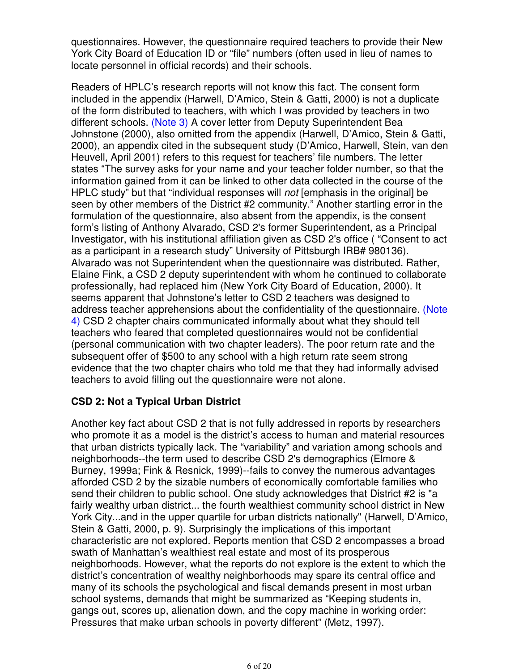questionnaires. However, the questionnaire required teachers to provide their New York City Board of Education ID or "file" numbers (often used in lieu of names to locate personnel in official records) and their schools.

Readers of HPLC's research reports will not know this fact. The consent form included in the appendix (Harwell, D'Amico, Stein & Gatti, 2000) is not a duplicate of the form distributed to teachers, with which I was provided by teachers in two different schools. (Note 3) A cover letter from Deputy Superintendent Bea Johnstone (2000), also omitted from the appendix (Harwell, D'Amico, Stein & Gatti, 2000), an appendix cited in the subsequent study (D'Amico, Harwell, Stein, van den Heuvell, April 2001) refers to this request for teachers' file numbers. The letter states "The survey asks for your name and your teacher folder number, so that the information gained from it can be linked to other data collected in the course of the HPLC study" but that "individual responses will not [emphasis in the original] be seen by other members of the District #2 community." Another startling error in the formulation of the questionnaire, also absent from the appendix, is the consent form's listing of Anthony Alvarado, CSD 2's former Superintendent, as a Principal Investigator, with his institutional affiliation given as CSD 2's office ( "Consent to act as a participant in a research study" University of Pittsburgh IRB# 980136). Alvarado was not Superintendent when the questionnaire was distributed. Rather, Elaine Fink, a CSD 2 deputy superintendent with whom he continued to collaborate professionally, had replaced him (New York City Board of Education, 2000). It seems apparent that Johnstone's letter to CSD 2 teachers was designed to address teacher apprehensions about the confidentiality of the questionnaire. (Note 4) CSD 2 chapter chairs communicated informally about what they should tell teachers who feared that completed questionnaires would not be confidential (personal communication with two chapter leaders). The poor return rate and the subsequent offer of \$500 to any school with a high return rate seem strong evidence that the two chapter chairs who told me that they had informally advised teachers to avoid filling out the questionnaire were not alone.

# **CSD 2: Not a Typical Urban District**

Another key fact about CSD 2 that is not fully addressed in reports by researchers who promote it as a model is the district's access to human and material resources that urban districts typically lack. The "variability" and variation among schools and neighborhoods--the term used to describe CSD 2's demographics (Elmore & Burney, 1999a; Fink & Resnick, 1999)--fails to convey the numerous advantages afforded CSD 2 by the sizable numbers of economically comfortable families who send their children to public school. One study acknowledges that District #2 is "a fairly wealthy urban district... the fourth wealthiest community school district in New York City...and in the upper quartile for urban districts nationally" (Harwell, D'Amico, Stein & Gatti, 2000, p. 9). Surprisingly the implications of this important characteristic are not explored. Reports mention that CSD 2 encompasses a broad swath of Manhattan's wealthiest real estate and most of its prosperous neighborhoods. However, what the reports do not explore is the extent to which the district's concentration of wealthy neighborhoods may spare its central office and many of its schools the psychological and fiscal demands present in most urban school systems, demands that might be summarized as "Keeping students in, gangs out, scores up, alienation down, and the copy machine in working order: Pressures that make urban schools in poverty different" (Metz, 1997).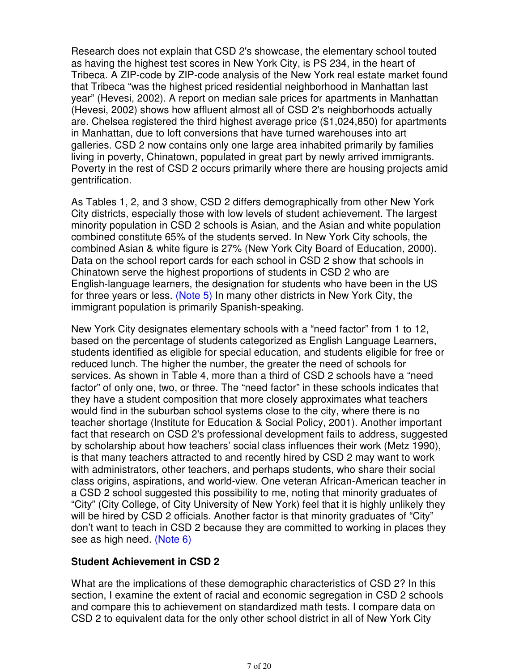Research does not explain that CSD 2's showcase, the elementary school touted as having the highest test scores in New York City, is PS 234, in the heart of Tribeca. A ZIP-code by ZIP-code analysis of the New York real estate market found that Tribeca "was the highest priced residential neighborhood in Manhattan last year" (Hevesi, 2002). A report on median sale prices for apartments in Manhattan (Hevesi, 2002) shows how affluent almost all of CSD 2's neighborhoods actually are. Chelsea registered the third highest average price (\$1,024,850) for apartments in Manhattan, due to loft conversions that have turned warehouses into art galleries. CSD 2 now contains only one large area inhabited primarily by families living in poverty, Chinatown, populated in great part by newly arrived immigrants. Poverty in the rest of CSD 2 occurs primarily where there are housing projects amid gentrification.

As Tables 1, 2, and 3 show, CSD 2 differs demographically from other New York City districts, especially those with low levels of student achievement. The largest minority population in CSD 2 schools is Asian, and the Asian and white population combined constitute 65% of the students served. In New York City schools, the combined Asian & white figure is 27% (New York City Board of Education, 2000). Data on the school report cards for each school in CSD 2 show that schools in Chinatown serve the highest proportions of students in CSD 2 who are English-language learners, the designation for students who have been in the US for three years or less. (Note 5) In many other districts in New York City, the immigrant population is primarily Spanish-speaking.

New York City designates elementary schools with a "need factor" from 1 to 12, based on the percentage of students categorized as English Language Learners, students identified as eligible for special education, and students eligible for free or reduced lunch. The higher the number, the greater the need of schools for services. As shown in Table 4, more than a third of CSD 2 schools have a "need factor" of only one, two, or three. The "need factor" in these schools indicates that they have a student composition that more closely approximates what teachers would find in the suburban school systems close to the city, where there is no teacher shortage (Institute for Education & Social Policy, 2001). Another important fact that research on CSD 2's professional development fails to address, suggested by scholarship about how teachers' social class influences their work (Metz 1990), is that many teachers attracted to and recently hired by CSD 2 may want to work with administrators, other teachers, and perhaps students, who share their social class origins, aspirations, and world-view. One veteran African-American teacher in a CSD 2 school suggested this possibility to me, noting that minority graduates of "City" (City College, of City University of New York) feel that it is highly unlikely they will be hired by CSD 2 officials. Another factor is that minority graduates of "City" don't want to teach in CSD 2 because they are committed to working in places they see as high need. (Note 6)

# **Student Achievement in CSD 2**

What are the implications of these demographic characteristics of CSD 2? In this section, I examine the extent of racial and economic segregation in CSD 2 schools and compare this to achievement on standardized math tests. I compare data on CSD 2 to equivalent data for the only other school district in all of New York City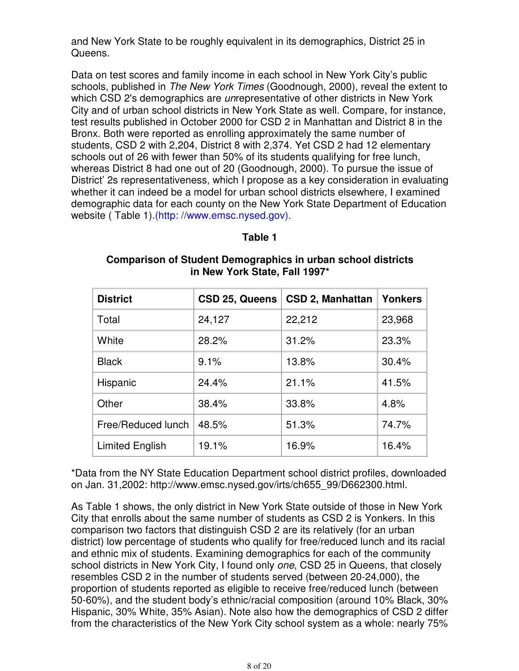and New York State to be roughly equivalent in its demographics, District 25 in Queens.

Data on test scores and family income in each school in New York City's public schools, published in The New York Times (Goodnough, 2000), reveal the extent to which CSD 2's demographics are *un*representative of other districts in New York City and of urban school districts in New York State as well. Compare, for instance, test results published in October 2000 for CSD 2 in Manhattan and District 8 in the Bronx. Both were reported as enrolling approximately the same number of students, CSD 2 with 2,204, District 8 with 2,374. Yet CSD 2 had 12 elementary schools out of 26 with fewer than 50% of its students qualifying for free lunch, whereas District 8 had one out of 20 (Goodnough, 2000). To pursue the issue of District' 2s representativeness, which I propose as a key consideration in evaluating whether it can indeed be a model for urban school districts elsewhere, I examined demographic data for each county on the New York State Department of Education website ( Table 1).(http: //www.emsc.nysed.gov).

### **Table 1**

| <b>District</b>        | CSD 25, Queens | CSD 2, Manhattan | <b>Yonkers</b> |
|------------------------|----------------|------------------|----------------|
| Total                  | 24,127         | 22,212           | 23,968         |
| White                  | 28.2%          | 31.2%            | 23.3%          |
| <b>Black</b>           | 9.1%           | 13.8%            | 30.4%          |
| Hispanic               | 24.4%          | 21.1%            | 41.5%          |
| Other                  | 38.4%          | 33.8%            | 4.8%           |
| Free/Reduced lunch     | 48.5%          | 51.3%            | 74.7%          |
| <b>Limited English</b> | 19.1%          | 16.9%            | 16.4%          |

### **Comparison of Student Demographics in urban school districts in New York State, Fall 1997\***

\*Data from the NY State Education Department school district profiles, downloaded on Jan. 31,2002: http://www.emsc.nysed.gov/irts/ch655\_99/D662300.html.

As Table 1 shows, the only district in New York State outside of those in New York City that enrolls about the same number of students as CSD 2 is Yonkers. In this comparison two factors that distinguish CSD 2 are its relatively (for an urban district) low percentage of students who qualify for free/reduced lunch and its racial and ethnic mix of students. Examining demographics for each of the community school districts in New York City, I found only one, CSD 25 in Queens, that closely resembles CSD 2 in the number of students served (between 20-24,000), the proportion of students reported as eligible to receive free/reduced lunch (between 50-60%), and the student body's ethnic/racial composition (around 10% Black, 30% Hispanic, 30% White, 35% Asian). Note also how the demographics of CSD 2 differ from the characteristics of the New York City school system as a whole: nearly 75%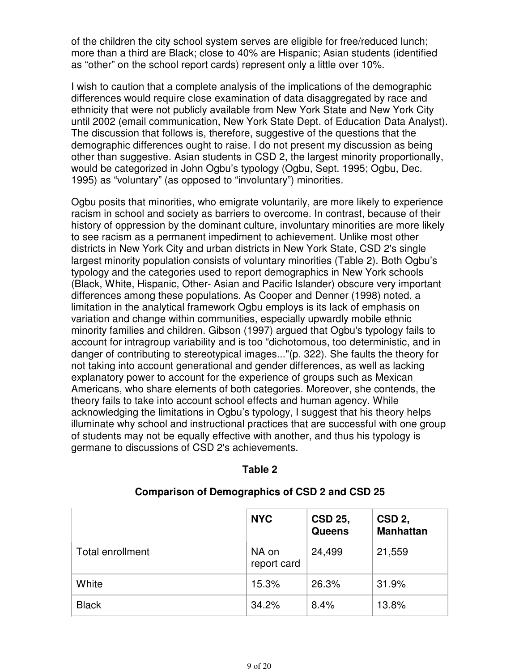of the children the city school system serves are eligible for free/reduced lunch; more than a third are Black; close to 40% are Hispanic; Asian students (identified as "other" on the school report cards) represent only a little over 10%.

I wish to caution that a complete analysis of the implications of the demographic differences would require close examination of data disaggregated by race and ethnicity that were not publicly available from New York State and New York City until 2002 (email communication, New York State Dept. of Education Data Analyst). The discussion that follows is, therefore, suggestive of the questions that the demographic differences ought to raise. I do not present my discussion as being other than suggestive. Asian students in CSD 2, the largest minority proportionally, would be categorized in John Ogbu's typology (Ogbu, Sept. 1995; Ogbu, Dec. 1995) as "voluntary" (as opposed to "involuntary") minorities.

Ogbu posits that minorities, who emigrate voluntarily, are more likely to experience racism in school and society as barriers to overcome. In contrast, because of their history of oppression by the dominant culture, involuntary minorities are more likely to see racism as a permanent impediment to achievement. Unlike most other districts in New York City and urban districts in New York State, CSD 2's single largest minority population consists of voluntary minorities (Table 2). Both Ogbu's typology and the categories used to report demographics in New York schools (Black, White, Hispanic, Other- Asian and Pacific Islander) obscure very important differences among these populations. As Cooper and Denner (1998) noted, a limitation in the analytical framework Ogbu employs is its lack of emphasis on variation and change within communities, especially upwardly mobile ethnic minority families and children. Gibson (1997) argued that Ogbu's typology fails to account for intragroup variability and is too "dichotomous, too deterministic, and in danger of contributing to stereotypical images..."(p. 322). She faults the theory for not taking into account generational and gender differences, as well as lacking explanatory power to account for the experience of groups such as Mexican Americans, who share elements of both categories. Moreover, she contends, the theory fails to take into account school effects and human agency. While acknowledging the limitations in Ogbu's typology, I suggest that his theory helps illuminate why school and instructional practices that are successful with one group of students may not be equally effective with another, and thus his typology is germane to discussions of CSD 2's achievements.

|                         | <b>NYC</b>           | <b>CSD 25,</b><br><b>Queens</b> | CSD <sub>2</sub> ,<br><b>Manhattan</b> |
|-------------------------|----------------------|---------------------------------|----------------------------------------|
| <b>Total enrollment</b> | NA on<br>report card | 24,499                          | 21,559                                 |
| White                   | 15.3%                | 26.3%                           | 31.9%                                  |
| <b>Black</b>            | 34.2%                | 8.4%                            | 13.8%                                  |

# **Table 2**

**Comparison of Demographics of CSD 2 and CSD 25**

9 of 20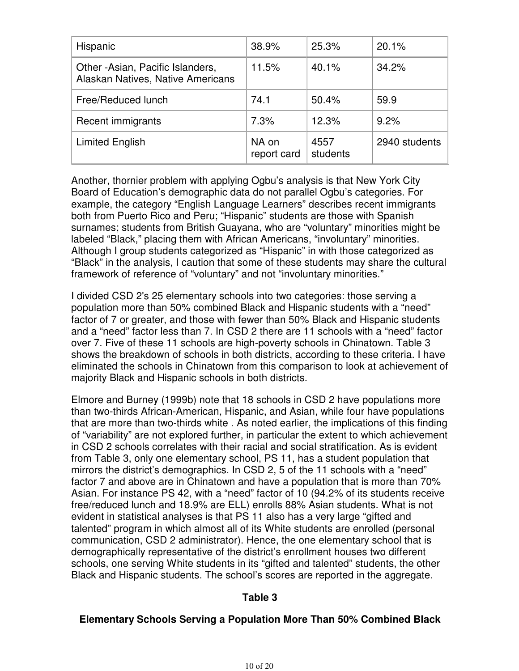| Hispanic                                                              | 38.9%                | 25.3%            | 20.1%         |
|-----------------------------------------------------------------------|----------------------|------------------|---------------|
| Other -Asian, Pacific Islanders.<br>Alaskan Natives, Native Americans | 11.5%                | 40.1%            | 34.2%         |
| Free/Reduced lunch                                                    | 74.1                 | 50.4%            | 59.9          |
| Recent immigrants                                                     | 7.3%                 | 12.3%            | 9.2%          |
| <b>Limited English</b>                                                | NA on<br>report card | 4557<br>students | 2940 students |

Another, thornier problem with applying Ogbu's analysis is that New York City Board of Education's demographic data do not parallel Ogbu's categories. For example, the category "English Language Learners" describes recent immigrants both from Puerto Rico and Peru; "Hispanic" students are those with Spanish surnames; students from British Guayana, who are "voluntary" minorities might be labeled "Black," placing them with African Americans, "involuntary" minorities. Although I group students categorized as "Hispanic" in with those categorized as "Black" in the analysis, I caution that some of these students may share the cultural framework of reference of "voluntary" and not "involuntary minorities."

I divided CSD 2's 25 elementary schools into two categories: those serving a population more than 50% combined Black and Hispanic students with a "need" factor of 7 or greater, and those with fewer than 50% Black and Hispanic students and a "need" factor less than 7. In CSD 2 there are 11 schools with a "need" factor over 7. Five of these 11 schools are high-poverty schools in Chinatown. Table 3 shows the breakdown of schools in both districts, according to these criteria. I have eliminated the schools in Chinatown from this comparison to look at achievement of majority Black and Hispanic schools in both districts.

Elmore and Burney (1999b) note that 18 schools in CSD 2 have populations more than two-thirds African-American, Hispanic, and Asian, while four have populations that are more than two-thirds white . As noted earlier, the implications of this finding of "variability" are not explored further, in particular the extent to which achievement in CSD 2 schools correlates with their racial and social stratification. As is evident from Table 3, only one elementary school, PS 11, has a student population that mirrors the district's demographics. In CSD 2, 5 of the 11 schools with a "need" factor 7 and above are in Chinatown and have a population that is more than 70% Asian. For instance PS 42, with a "need" factor of 10 (94.2% of its students receive free/reduced lunch and 18.9% are ELL) enrolls 88% Asian students. What is not evident in statistical analyses is that PS 11 also has a very large "gifted and talented" program in which almost all of its White students are enrolled (personal communication, CSD 2 administrator). Hence, the one elementary school that is demographically representative of the district's enrollment houses two different schools, one serving White students in its "gifted and talented" students, the other Black and Hispanic students. The school's scores are reported in the aggregate.

# **Table 3**

# **Elementary Schools Serving a Population More Than 50% Combined Black**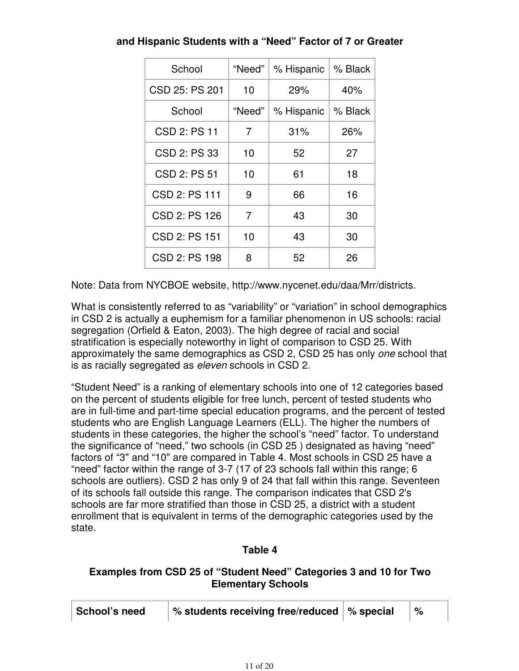| School         | "Need"         | % Hispanic | ∣% Black |
|----------------|----------------|------------|----------|
| CSD 25: PS 201 | 10             | 29%        | 40%      |
| School         | "Need"         | % Hispanic | % Black  |
| CSD 2: PS 11   | 7              | 31%        | 26%      |
| CSD 2: PS 33   | 10             | 52         | 27       |
| CSD 2: PS 51   | 10             | 61         | 18       |
| CSD 2: PS 111  | 9              | 66         | 16       |
| CSD 2: PS 126  | $\overline{7}$ | 43         | 30       |
| CSD 2: PS 151  | 10             | 43         | 30       |
| CSD 2: PS 198  | 8              | 52         | 26       |

**and Hispanic Students with a "Need" Factor of 7 or Greater**

Note: Data from NYCBOE website, http://www.nycenet.edu/daa/Mrr/districts.

What is consistently referred to as "variability" or "variation" in school demographics in CSD 2 is actually a euphemism for a familiar phenomenon in US schools: racial segregation (Orfield & Eaton, 2003). The high degree of racial and social stratification is especially noteworthy in light of comparison to CSD 25. With approximately the same demographics as CSD 2, CSD 25 has only one school that is as racially segregated as eleven schools in CSD 2.

"Student Need" is a ranking of elementary schools into one of 12 categories based on the percent of students eligible for free lunch, percent of tested students who are in full-time and part-time special education programs, and the percent of tested students who are English Language Learners (ELL). The higher the numbers of students in these categories, the higher the school's "need" factor. To understand the significance of "need," two schools (in CSD 25 ) designated as having "need" factors of "3" and "10" are compared in Table 4. Most schools in CSD 25 have a "need" factor within the range of 3-7 (17 of 23 schools fall within this range; 6 schools are outliers). CSD 2 has only 9 of 24 that fall within this range. Seventeen of its schools fall outside this range. The comparison indicates that CSD 2's schools are far more stratified than those in CSD 25, a district with a student enrollment that is equivalent in terms of the demographic categories used by the state.

# **Table 4**

# **Examples from CSD 25 of "Student Need" Categories 3 and 10 for Two Elementary Schools**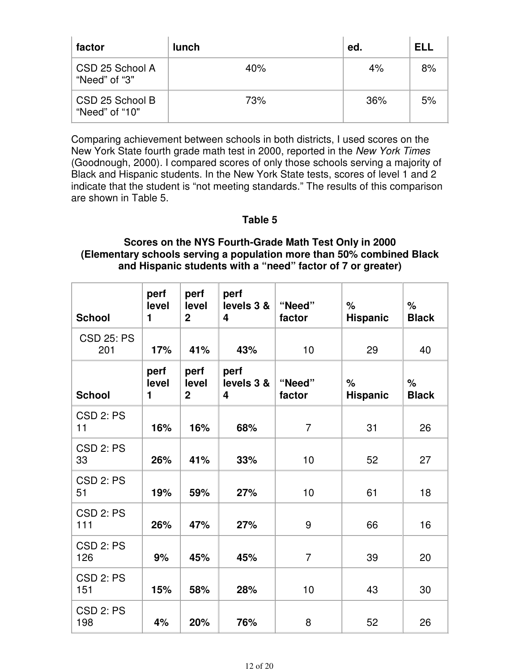| factor                            | lunch | ed.   | ELL |
|-----------------------------------|-------|-------|-----|
| CSD 25 School A<br>"Need" of "3"  | 40%   | $4\%$ | 8%  |
| CSD 25 School B<br>"Need" of "10" | 73%   | 36%   | 5%  |

Comparing achievement between schools in both districts, I used scores on the New York State fourth grade math test in 2000, reported in the New York Times (Goodnough, 2000). I compared scores of only those schools serving a majority of Black and Hispanic students. In the New York State tests, scores of level 1 and 2 indicate that the student is "not meeting standards." The results of this comparison are shown in Table 5.

# **Table 5**

# **Scores on the NYS Fourth-Grade Math Test Only in 2000 (Elementary schools serving a population more than 50% combined Black and Hispanic students with a "need" factor of 7 or greater)**

| <b>School</b>            | perf<br>level<br>1 | perf<br>level<br>$\overline{2}$ | perf<br>levels 3 &<br>4 | "Need"<br>factor | $\%$<br><b>Hispanic</b> | $\frac{1}{\sqrt{2}}$<br><b>Black</b> |
|--------------------------|--------------------|---------------------------------|-------------------------|------------------|-------------------------|--------------------------------------|
| <b>CSD 25: PS</b><br>201 | 17%                | 41%                             | 43%                     | 10               | 29                      | 40                                   |
| <b>School</b>            | perf<br>level<br>1 | perf<br>level<br>$\overline{2}$ | perf<br>levels 3 &<br>4 | "Need"<br>factor | $\%$<br><b>Hispanic</b> | $\%$<br><b>Black</b>                 |
| CSD 2: PS<br>11          | 16%                | 16%                             | 68%                     | $\overline{7}$   | 31                      | 26                                   |
| CSD 2: PS<br>33          | 26%                | 41%                             | 33%                     | 10               | 52                      | 27                                   |
| CSD 2: PS<br>51          | 19%                | 59%                             | 27%                     | 10               | 61                      | 18                                   |
| CSD 2: PS<br>111         | 26%                | 47%                             | 27%                     | 9                | 66                      | 16                                   |
| CSD 2: PS<br>126         | 9%                 | 45%                             | 45%                     | $\overline{7}$   | 39                      | 20                                   |
| CSD 2: PS<br>151         | 15%                | 58%                             | 28%                     | 10               | 43                      | 30                                   |
| CSD 2: PS<br>198         | 4%                 | 20%                             | 76%                     | 8                | 52                      | 26                                   |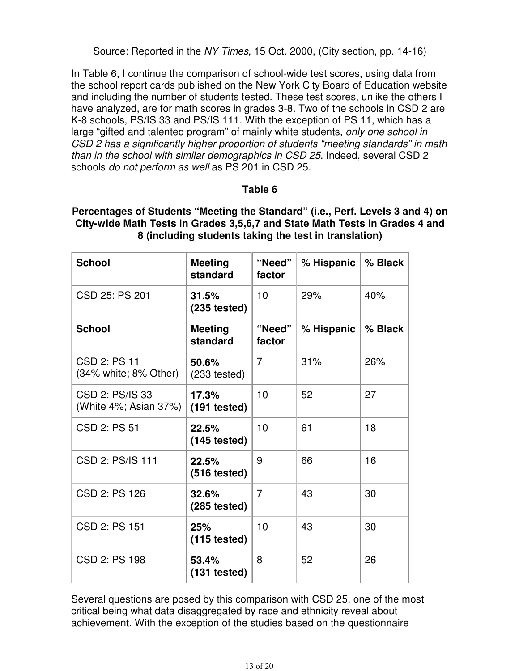Source: Reported in the NY Times, 15 Oct. 2000, (City section, pp. 14-16)

In Table 6, I continue the comparison of school-wide test scores, using data from the school report cards published on the New York City Board of Education website and including the number of students tested. These test scores, unlike the others I have analyzed, are for math scores in grades 3-8. Two of the schools in CSD 2 are K-8 schools, PS/IS 33 and PS/IS 111. With the exception of PS 11, which has a large "gifted and talented program" of mainly white students, only one school in CSD 2 has a significantly higher proportion of students "meeting standards" in math than in the school with similar demographics in CSD 25. Indeed, several CSD 2 schools do not perform as well as PS 201 in CSD 25.

# **Table 6**

### **Percentages of Students "Meeting the Standard" (i.e., Perf. Levels 3 and 4) on City-wide Math Tests in Grades 3,5,6,7 and State Math Tests in Grades 4 and 8 (including students taking the test in translation)**

| <b>School</b>                                    | <b>Meeting</b><br>standard      | "Need"<br>factor | % Hispanic $\vert$ | % Black |
|--------------------------------------------------|---------------------------------|------------------|--------------------|---------|
| CSD 25: PS 201                                   | 31.5%<br>$(235 \text{ tested})$ | 10               | 29%                | 40%     |
| <b>School</b>                                    | <b>Meeting</b><br>standard      | "Need"<br>factor | % Hispanic         | % Black |
| CSD 2: PS 11<br>$(34\%$ white; $8\%$ Other)      | 50.6%<br>$(233 \text{ tested})$ | $\overline{7}$   | 31%                | 26%     |
| CSD 2: PS/IS 33<br>(White $4\%$ ; Asian $37\%$ ) | 17.3%<br>$(191$ tested)         | 10               | 52                 | 27      |
| CSD 2: PS 51                                     | 22.5%<br>$(145 \text{ tested})$ | 10               | 61                 | 18      |
| CSD 2: PS/IS 111                                 | 22.5%<br>$(516 \text{ tested})$ | 9                | 66                 | 16      |
| CSD 2: PS 126                                    | 32.6%<br>$(285 \text{ tested})$ | $\overline{7}$   | 43                 | 30      |
| CSD 2: PS 151                                    | 25%<br>$(115 \text{ tested})$   | 10               | 43                 | 30      |
| CSD 2: PS 198                                    | 53.4%<br>$(131 \text{ tested})$ | 8                | 52                 | 26      |

Several questions are posed by this comparison with CSD 25, one of the most critical being what data disaggregated by race and ethnicity reveal about achievement. With the exception of the studies based on the questionnaire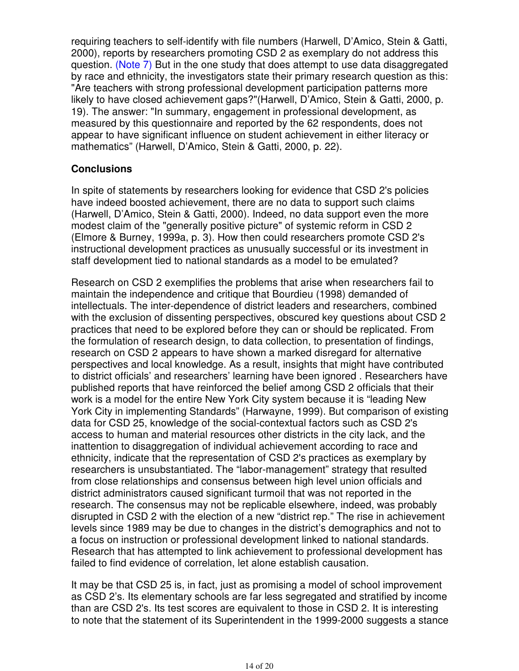requiring teachers to self-identify with file numbers (Harwell, D'Amico, Stein & Gatti, 2000), reports by researchers promoting CSD 2 as exemplary do not address this question. (Note 7) But in the one study that does attempt to use data disaggregated by race and ethnicity, the investigators state their primary research question as this: "Are teachers with strong professional development participation patterns more likely to have closed achievement gaps?"(Harwell, D'Amico, Stein & Gatti, 2000, p. 19). The answer: "In summary, engagement in professional development, as measured by this questionnaire and reported by the 62 respondents, does not appear to have significant influence on student achievement in either literacy or mathematics" (Harwell, D'Amico, Stein & Gatti, 2000, p. 22).

# **Conclusions**

In spite of statements by researchers looking for evidence that CSD 2's policies have indeed boosted achievement, there are no data to support such claims (Harwell, D'Amico, Stein & Gatti, 2000). Indeed, no data support even the more modest claim of the "generally positive picture" of systemic reform in CSD 2 (Elmore & Burney, 1999a, p. 3). How then could researchers promote CSD 2's instructional development practices as unusually successful or its investment in staff development tied to national standards as a model to be emulated?

Research on CSD 2 exemplifies the problems that arise when researchers fail to maintain the independence and critique that Bourdieu (1998) demanded of intellectuals. The inter-dependence of district leaders and researchers, combined with the exclusion of dissenting perspectives, obscured key questions about CSD 2 practices that need to be explored before they can or should be replicated. From the formulation of research design, to data collection, to presentation of findings, research on CSD 2 appears to have shown a marked disregard for alternative perspectives and local knowledge. As a result, insights that might have contributed to district officials' and researchers' learning have been ignored . Researchers have published reports that have reinforced the belief among CSD 2 officials that their work is a model for the entire New York City system because it is "leading New York City in implementing Standards" (Harwayne, 1999). But comparison of existing data for CSD 25, knowledge of the social-contextual factors such as CSD 2's access to human and material resources other districts in the city lack, and the inattention to disaggregation of individual achievement according to race and ethnicity, indicate that the representation of CSD 2's practices as exemplary by researchers is unsubstantiated. The "labor-management" strategy that resulted from close relationships and consensus between high level union officials and district administrators caused significant turmoil that was not reported in the research. The consensus may not be replicable elsewhere, indeed, was probably disrupted in CSD 2 with the election of a new "district rep." The rise in achievement levels since 1989 may be due to changes in the district's demographics and not to a focus on instruction or professional development linked to national standards. Research that has attempted to link achievement to professional development has failed to find evidence of correlation, let alone establish causation.

It may be that CSD 25 is, in fact, just as promising a model of school improvement as CSD 2's. Its elementary schools are far less segregated and stratified by income than are CSD 2's. Its test scores are equivalent to those in CSD 2. It is interesting to note that the statement of its Superintendent in the 1999-2000 suggests a stance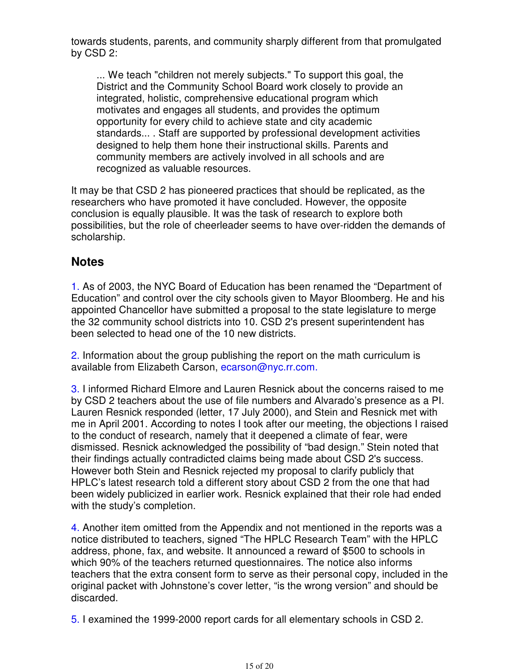towards students, parents, and community sharply different from that promulgated by CSD 2:

... We teach "children not merely subjects." To support this goal, the District and the Community School Board work closely to provide an integrated, holistic, comprehensive educational program which motivates and engages all students, and provides the optimum opportunity for every child to achieve state and city academic standards... . Staff are supported by professional development activities designed to help them hone their instructional skills. Parents and community members are actively involved in all schools and are recognized as valuable resources.

It may be that CSD 2 has pioneered practices that should be replicated, as the researchers who have promoted it have concluded. However, the opposite conclusion is equally plausible. It was the task of research to explore both possibilities, but the role of cheerleader seems to have over-ridden the demands of scholarship.

# **Notes**

1. As of 2003, the NYC Board of Education has been renamed the "Department of Education" and control over the city schools given to Mayor Bloomberg. He and his appointed Chancellor have submitted a proposal to the state legislature to merge the 32 community school districts into 10. CSD 2's present superintendent has been selected to head one of the 10 new districts.

2. Information about the group publishing the report on the math curriculum is available from Elizabeth Carson, ecarson@nyc.rr.com.

3. I informed Richard Elmore and Lauren Resnick about the concerns raised to me by CSD 2 teachers about the use of file numbers and Alvarado's presence as a PI. Lauren Resnick responded (letter, 17 July 2000), and Stein and Resnick met with me in April 2001. According to notes I took after our meeting, the objections I raised to the conduct of research, namely that it deepened a climate of fear, were dismissed. Resnick acknowledged the possibility of "bad design." Stein noted that their findings actually contradicted claims being made about CSD 2's success. However both Stein and Resnick rejected my proposal to clarify publicly that HPLC's latest research told a different story about CSD 2 from the one that had been widely publicized in earlier work. Resnick explained that their role had ended with the study's completion.

4. Another item omitted from the Appendix and not mentioned in the reports was a notice distributed to teachers, signed "The HPLC Research Team" with the HPLC address, phone, fax, and website. It announced a reward of \$500 to schools in which 90% of the teachers returned questionnaires. The notice also informs teachers that the extra consent form to serve as their personal copy, included in the original packet with Johnstone's cover letter, "is the wrong version" and should be discarded.

5. I examined the 1999-2000 report cards for all elementary schools in CSD 2.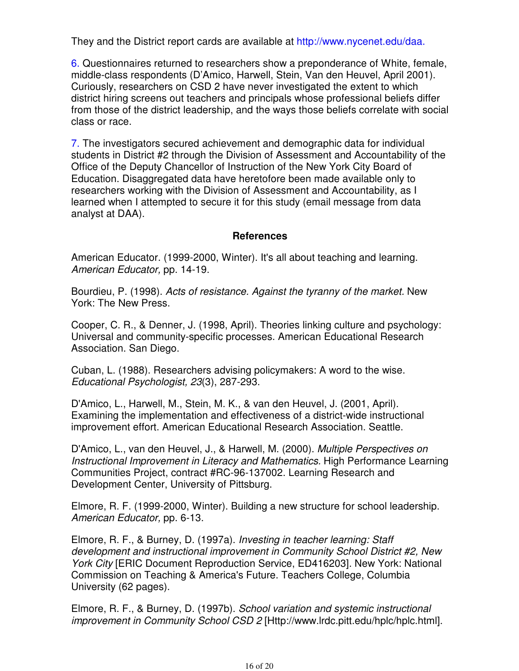They and the District report cards are available at http://www.nycenet.edu/daa.

6. Questionnaires returned to researchers show a preponderance of White, female, middle-class respondents (D'Amico, Harwell, Stein, Van den Heuvel, April 2001). Curiously, researchers on CSD 2 have never investigated the extent to which district hiring screens out teachers and principals whose professional beliefs differ from those of the district leadership, and the ways those beliefs correlate with social class or race.

7. The investigators secured achievement and demographic data for individual students in District #2 through the Division of Assessment and Accountability of the Office of the Deputy Chancellor of Instruction of the New York City Board of Education. Disaggregated data have heretofore been made available only to researchers working with the Division of Assessment and Accountability, as I learned when I attempted to secure it for this study (email message from data analyst at DAA).

# **References**

American Educator. (1999-2000, Winter). It's all about teaching and learning. American Educator, pp. 14-19.

Bourdieu, P. (1998). Acts of resistance. Against the tyranny of the market. New York: The New Press.

Cooper, C. R., & Denner, J. (1998, April). Theories linking culture and psychology: Universal and community-specific processes. American Educational Research Association. San Diego.

Cuban, L. (1988). Researchers advising policymakers: A word to the wise. Educational Psychologist, 23(3), 287-293.

D'Amico, L., Harwell, M., Stein, M. K., & van den Heuvel, J. (2001, April). Examining the implementation and effectiveness of a district-wide instructional improvement effort. American Educational Research Association. Seattle.

D'Amico, L., van den Heuvel, J., & Harwell, M. (2000). Multiple Perspectives on Instructional Improvement in Literacy and Mathematics. High Performance Learning Communities Project, contract #RC-96-137002. Learning Research and Development Center, University of Pittsburg.

Elmore, R. F. (1999-2000, Winter). Building a new structure for school leadership. American Educator, pp. 6-13.

Elmore, R. F., & Burney, D. (1997a). Investing in teacher learning: Staff development and instructional improvement in Community School District #2, New York City [ERIC Document Reproduction Service, ED416203]. New York: National Commission on Teaching & America's Future. Teachers College, Columbia University (62 pages).

Elmore, R. F., & Burney, D. (1997b). School variation and systemic instructional improvement in Community School CSD 2 [Http://www.lrdc.pitt.edu/hplc/hplc.html].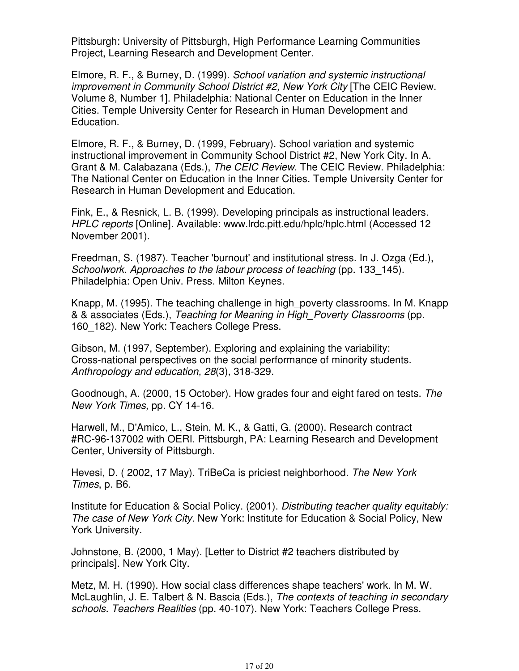Pittsburgh: University of Pittsburgh, High Performance Learning Communities Project, Learning Research and Development Center.

Elmore, R. F., & Burney, D. (1999). School variation and systemic instructional improvement in Community School District #2, New York City [The CEIC Review. Volume 8, Number 1]. Philadelphia: National Center on Education in the Inner Cities. Temple University Center for Research in Human Development and Education.

Elmore, R. F., & Burney, D. (1999, February). School variation and systemic instructional improvement in Community School District #2, New York City. In A. Grant & M. Calabazana (Eds.), The CEIC Review. The CEIC Review. Philadelphia: The National Center on Education in the Inner Cities. Temple University Center for Research in Human Development and Education.

Fink, E., & Resnick, L. B. (1999). Developing principals as instructional leaders. HPLC reports [Online]. Available: www.lrdc.pitt.edu/hplc/hplc.html (Accessed 12 November 2001).

Freedman, S. (1987). Teacher 'burnout' and institutional stress. In J. Ozga (Ed.), Schoolwork. Approaches to the labour process of teaching (pp. 133–145). Philadelphia: Open Univ. Press. Milton Keynes.

Knapp, M. (1995). The teaching challenge in high\_poverty classrooms. In M. Knapp & & associates (Eds.), Teaching for Meaning in High\_Poverty Classrooms (pp. 160 182). New York: Teachers College Press.

Gibson, M. (1997, September). Exploring and explaining the variability: Cross-national perspectives on the social performance of minority students. Anthropology and education, 28(3), 318-329.

Goodnough, A. (2000, 15 October). How grades four and eight fared on tests. The New York Times, pp. CY 14-16.

Harwell, M., D'Amico, L., Stein, M. K., & Gatti, G. (2000). Research contract #RC-96-137002 with OERI. Pittsburgh, PA: Learning Research and Development Center, University of Pittsburgh.

Hevesi, D. ( 2002, 17 May). TriBeCa is priciest neighborhood. The New York Times, p. B6.

Institute for Education & Social Policy. (2001). Distributing teacher quality equitably: The case of New York City. New York: Institute for Education & Social Policy, New York University.

Johnstone, B. (2000, 1 May). [Letter to District #2 teachers distributed by principals]. New York City.

Metz, M. H. (1990). How social class differences shape teachers' work. In M. W. McLaughlin, J. E. Talbert & N. Bascia (Eds.), The contexts of teaching in secondary schools. Teachers Realities (pp. 40-107). New York: Teachers College Press.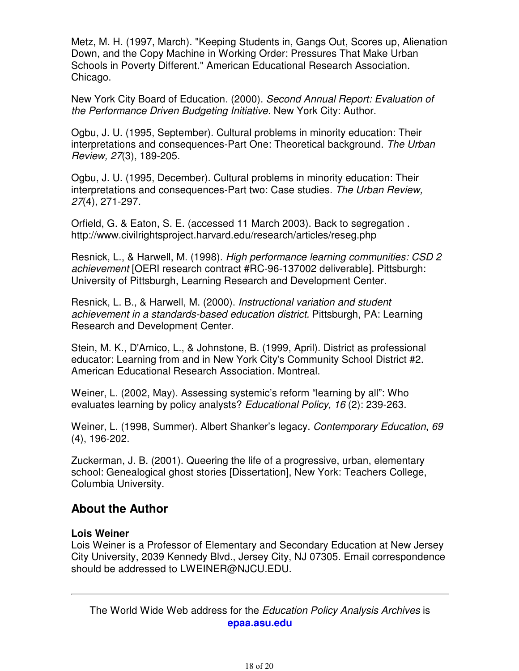Metz, M. H. (1997, March). "Keeping Students in, Gangs Out, Scores up, Alienation Down, and the Copy Machine in Working Order: Pressures That Make Urban Schools in Poverty Different." American Educational Research Association. Chicago.

New York City Board of Education. (2000). Second Annual Report: Evaluation of the Performance Driven Budgeting Initiative. New York City: Author.

Ogbu, J. U. (1995, September). Cultural problems in minority education: Their interpretations and consequences-Part One: Theoretical background. The Urban Review, 27(3), 189-205.

Ogbu, J. U. (1995, December). Cultural problems in minority education: Their interpretations and consequences-Part two: Case studies. The Urban Review, 27(4), 271-297.

Orfield, G. & Eaton, S. E. (accessed 11 March 2003). Back to segregation . http://www.civilrightsproject.harvard.edu/research/articles/reseg.php

Resnick, L., & Harwell, M. (1998). High performance learning communities: CSD 2 achievement [OERI research contract #RC-96-137002 deliverable]. Pittsburgh: University of Pittsburgh, Learning Research and Development Center.

Resnick, L. B., & Harwell, M. (2000). Instructional variation and student achievement in a standards-based education district. Pittsburgh, PA: Learning Research and Development Center.

Stein, M. K., D'Amico, L., & Johnstone, B. (1999, April). District as professional educator: Learning from and in New York City's Community School District #2. American Educational Research Association. Montreal.

Weiner, L. (2002, May). Assessing systemic's reform "learning by all": Who evaluates learning by policy analysts? Educational Policy, 16 (2): 239-263.

Weiner, L. (1998, Summer). Albert Shanker's legacy. Contemporary Education, 69 (4), 196-202.

Zuckerman, J. B. (2001). Queering the life of a progressive, urban, elementary school: Genealogical ghost stories [Dissertation], New York: Teachers College, Columbia University.

# **About the Author**

# **Lois Weiner**

Lois Weiner is a Professor of Elementary and Secondary Education at New Jersey City University, 2039 Kennedy Blvd., Jersey City, NJ 07305. Email correspondence should be addressed to LWEINER@NJCU.EDU.

The World Wide Web address for the Education Policy Analysis Archives is **epaa.asu.edu**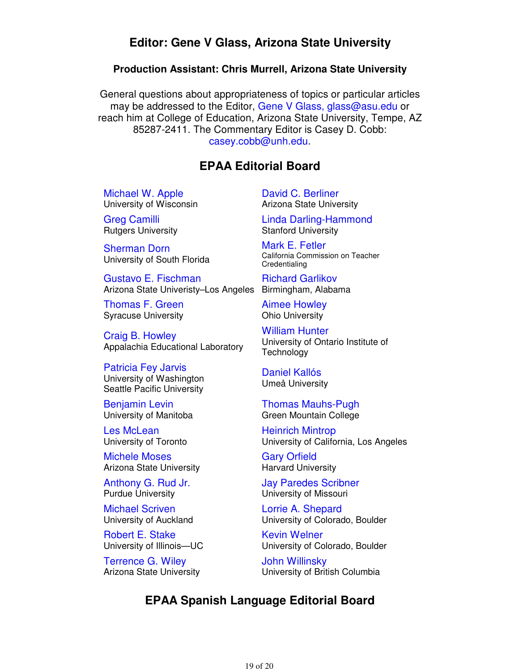# **Editor: Gene V Glass, Arizona State University**

### **Production Assistant: Chris Murrell, Arizona State University**

General questions about appropriateness of topics or particular articles may be addressed to the Editor, Gene V Glass, glass@asu.edu or reach him at College of Education, Arizona State University, Tempe, AZ 85287-2411. The Commentary Editor is Casey D. Cobb: casey.cobb@unh.edu.

# **EPAA Editorial Board**

Michael W. Apple University of Wisconsin

Greg Camilli Rutgers University

Sherman Dorn University of South Florida

Gustavo E. Fischman Arizona State Univeristy–Los Angeles Birmingham, Alabama

Thomas F. Green Syracuse University

Craig B. Howley Appalachia Educational Laboratory

Patricia Fey Jarvis University of Washington Seattle Pacific University

Benjamin Levin University of Manitoba

Les McLean University of Toronto

Michele Moses Arizona State University

Anthony G. Rud Jr. Purdue University

Michael Scriven University of Auckland

Robert E. Stake University of Illinois—UC

Terrence G. Wiley Arizona State University David C. Berliner Arizona State University

Linda Darling-Hammond Stanford University

Mark E. Fetler California Commission on Teacher **Credentialing** 

Richard Garlikov

Aimee Howley Ohio University

William Hunter University of Ontario Institute of **Technology** 

Daniel Kallós Umeå University

Thomas Mauhs-Pugh Green Mountain College

Heinrich Mintrop University of California, Los Angeles

Gary Orfield Harvard University

Jay Paredes Scribner University of Missouri

Lorrie A. Shepard University of Colorado, Boulder

Kevin Welner University of Colorado, Boulder

John Willinsky University of British Columbia

# **EPAA Spanish Language Editorial Board**